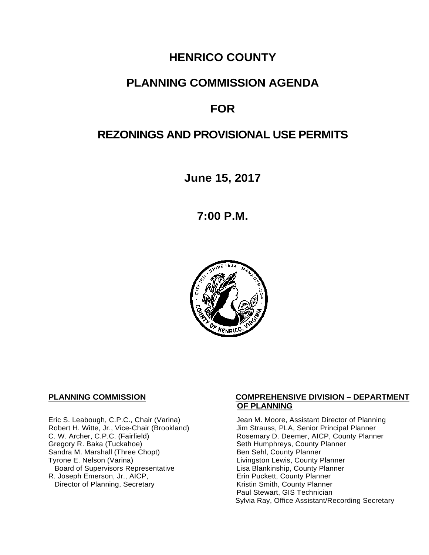# **HENRICO COUNTY**

# **PLANNING COMMISSION AGENDA**

# **FOR**

# **REZONINGS AND PROVISIONAL USE PERMITS**

**June 15, 2017**

**7:00 P.M.**



Robert H. Witte, Jr., Vice-Chair (Brookland)<br>C. W. Archer, C.P.C. (Fairfield) Gregory R. Baka (Tuckahoe) <br>
Sandra M. Marshall (Three Chopt) Sandra M. County Planner Sandra M. Marshall (Three Chopt)<br>Tyrone E. Nelson (Varina) Board of Supervisors Representative 
Lisa Blankinship, County Planner<br>
Lisa Blankinship, County Planner<br>
Lisa Blankinship, County Planner R. Joseph Emerson, Jr., AICP, Erin Puckett, County Planner<br>Director of Planning, Secretary Eric Extraction Sounty Planner Director of Planning, Secretary

#### **PLANNING COMMISSION COMPREHENSIVE DIVISION – DEPARTMENT OF PLANNING**

Eric S. Leabough, C.P.C., Chair (Varina) Jean M. Moore, Assistant Director of Planning<br>Robert H. Witte, Jr., Vice-Chair (Brookland) Jim Strauss, PLA, Senior Principal Planner Rosemary D. Deemer, AICP, County Planner<br>Seth Humphreys, County Planner Livingston Lewis, County Planner<br>Lisa Blankinship, County Planner Paul Stewart, GIS Technician Sylvia Ray, Office Assistant/Recording Secretary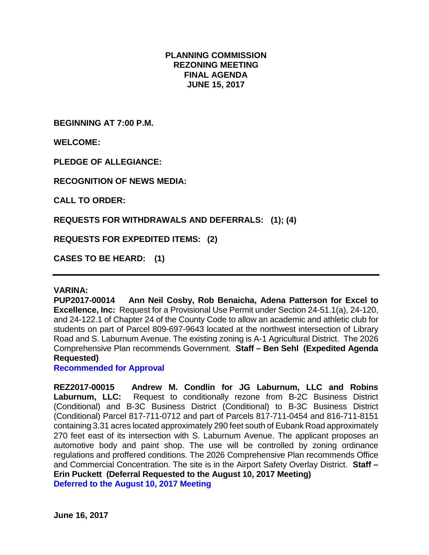# **PLANNING COMMISSION REZONING MEETING FINAL AGENDA JUNE 15, 2017**

**BEGINNING AT 7:00 P.M.**

**WELCOME:**

**PLEDGE OF ALLEGIANCE:**

**RECOGNITION OF NEWS MEDIA:**

**CALL TO ORDER:**

**REQUESTS FOR WITHDRAWALS AND DEFERRALS: (1); (4)**

**REQUESTS FOR EXPEDITED ITEMS: (2)**

**CASES TO BE HEARD: (1)**

#### **VARINA:**

**PUP2017-00014 Ann Neil Cosby, Rob Benaicha, Adena Patterson for Excel to Excellence, Inc:** Request for a Provisional Use Permit under Section 24-51.1(a), 24-120, and 24-122.1 of Chapter 24 of the County Code to allow an academic and athletic club for students on part of Parcel 809-697-9643 located at the northwest intersection of Library Road and S. Laburnum Avenue. The existing zoning is A-1 Agricultural District. The 2026 Comprehensive Plan recommends Government. **Staff – Ben Sehl (Expedited Agenda Requested)**

**Recommended for Approval**

**REZ2017-00015 Andrew M. Condlin for JG Laburnum, LLC and Robins Laburnum, LLC:** Request to conditionally rezone from B-2C Business District (Conditional) and B-3C Business District (Conditional) to B-3C Business District (Conditional) Parcel 817-711-0712 and part of Parcels 817-711-0454 and 816-711-8151 containing 3.31 acres located approximately 290 feet south of Eubank Road approximately 270 feet east of its intersection with S. Laburnum Avenue. The applicant proposes an automotive body and paint shop. The use will be controlled by zoning ordinance regulations and proffered conditions. The 2026 Comprehensive Plan recommends Office and Commercial Concentration. The site is in the Airport Safety Overlay District. **Staff – Erin Puckett (Deferral Requested to the August 10, 2017 Meeting) Deferred to the August 10, 2017 Meeting**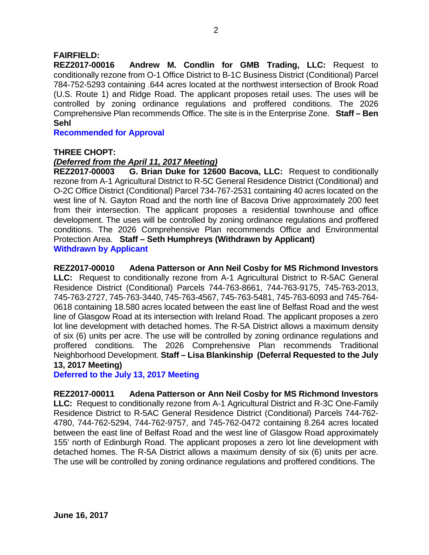# **FAIRFIELD:**

**REZ2017-00016 Andrew M. Condlin for GMB Trading, LLC:** Request to conditionally rezone from O-1 Office District to B-1C Business District (Conditional) Parcel 784-752-5293 containing .644 acres located at the northwest intersection of Brook Road (U.S. Route 1) and Ridge Road. The applicant proposes retail uses. The uses will be controlled by zoning ordinance regulations and proffered conditions. The 2026 Comprehensive Plan recommends Office. The site is in the Enterprise Zone. **Staff – Ben Sehl**

**Recommended for Approval**

## **THREE CHOPT:**

## *(Deferred from the April 11, 2017 Meeting)*

**REZ2017-00003 G. Brian Duke for 12600 Bacova, LLC:** Request to conditionally rezone from A-1 Agricultural District to R-5C General Residence District (Conditional) and O-2C Office District (Conditional) Parcel 734-767-2531 containing 40 acres located on the west line of N. Gayton Road and the north line of Bacova Drive approximately 200 feet from their intersection. The applicant proposes a residential townhouse and office development. The uses will be controlled by zoning ordinance regulations and proffered conditions. The 2026 Comprehensive Plan recommends Office and Environmental Protection Area. **Staff – Seth Humphreys (Withdrawn by Applicant) Withdrawn by Applicant**

#### **REZ2017-00010 Adena Patterson or Ann Neil Cosby for MS Richmond Investors**

**LLC:** Request to conditionally rezone from A-1 Agricultural District to R-5AC General Residence District (Conditional) Parcels 744-763-8661, 744-763-9175, 745-763-2013, 745-763-2727, 745-763-3440, 745-763-4567, 745-763-5481, 745-763-6093 and 745-764- 0618 containing 18.580 acres located between the east line of Belfast Road and the west line of Glasgow Road at its intersection with Ireland Road. The applicant proposes a zero lot line development with detached homes. The R-5A District allows a maximum density of six (6) units per acre. The use will be controlled by zoning ordinance regulations and proffered conditions. The 2026 Comprehensive Plan recommends Traditional Neighborhood Development. **Staff – Lisa Blankinship (Deferral Requested to the July 13, 2017 Meeting)**

**Deferred to the July 13, 2017 Meeting**

**REZ2017-00011 Adena Patterson or Ann Neil Cosby for MS Richmond Investors LLC:** Request to conditionally rezone from A-1 Agricultural District and R-3C One-Family Residence District to R-5AC General Residence District (Conditional) Parcels 744-762- 4780, 744-762-5294, 744-762-9757, and 745-762-0472 containing 8.264 acres located between the east line of Belfast Road and the west line of Glasgow Road approximately 155' north of Edinburgh Road. The applicant proposes a zero lot line development with detached homes. The R-5A District allows a maximum density of six (6) units per acre. The use will be controlled by zoning ordinance regulations and proffered conditions. The